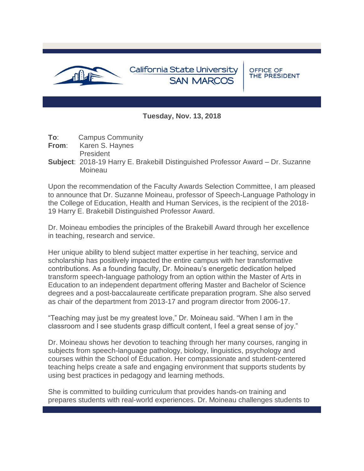

**Tuesday, Nov. 13, 2018**

**To**: Campus Community

**From:** Karen S. Haynes

**President** 

**Subject**: 2018-19 Harry E. Brakebill Distinguished Professor Award – Dr. Suzanne Moineau

Upon the recommendation of the Faculty Awards Selection Committee, I am pleased to announce that Dr. Suzanne Moineau, professor of Speech-Language Pathology in the College of Education, Health and Human Services, is the recipient of the 2018- 19 Harry E. Brakebill Distinguished Professor Award.

Dr. Moineau embodies the principles of the Brakebill Award through her excellence in teaching, research and service.

Her unique ability to blend subject matter expertise in her teaching, service and scholarship has positively impacted the entire campus with her transformative contributions. As a founding faculty, Dr. Moineau's energetic dedication helped transform speech-language pathology from an option within the Master of Arts in Education to an independent department offering Master and Bachelor of Science degrees and a post-baccalaureate certificate preparation program. She also served as chair of the department from 2013-17 and program director from 2006-17.

"Teaching may just be my greatest love," Dr. Moineau said. "When I am in the classroom and I see students grasp difficult content, I feel a great sense of joy."

Dr. Moineau shows her devotion to teaching through her many courses, ranging in subjects from speech-language pathology, biology, linguistics, psychology and courses within the School of Education. Her compassionate and student-centered teaching helps create a safe and engaging environment that supports students by using best practices in pedagogy and learning methods.

She is committed to building curriculum that provides hands-on training and prepares students with real-world experiences. Dr. Moineau challenges students to